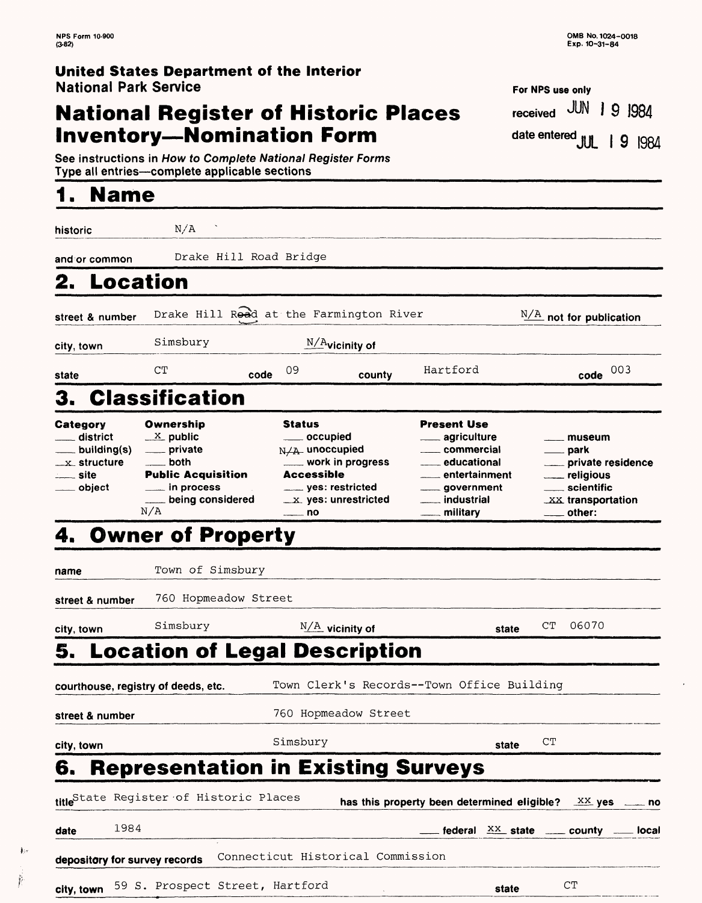### **United States Department of the Interior** National Park Service

# **National Register of Historic Places** National Park Service<br> **National Register of Historic Places** For NPS use only<br> **Inventory—Nomination Form** date entered JUL 19 1984

For NPS use omy received JUN | 9 1984 date entered JUL 19 1984

See instructions in How to Complete National Register Forms The contractions in How to Complete National Register Forms<br>Type all entries—complete applicable sections <br>Type all entries—complete applicable sections

# **1. Name**

 $\frac{1}{2}$  ,

ř

| historic                                                                                                | N/A                                                                                                                                                            |                                                                                                                         |                                                          |                                                                                                                                                                         |                                                                                                                                            |     |
|---------------------------------------------------------------------------------------------------------|----------------------------------------------------------------------------------------------------------------------------------------------------------------|-------------------------------------------------------------------------------------------------------------------------|----------------------------------------------------------|-------------------------------------------------------------------------------------------------------------------------------------------------------------------------|--------------------------------------------------------------------------------------------------------------------------------------------|-----|
| and or common                                                                                           |                                                                                                                                                                | Drake Hill Road Bridge                                                                                                  |                                                          |                                                                                                                                                                         |                                                                                                                                            |     |
| Location                                                                                                |                                                                                                                                                                |                                                                                                                         |                                                          |                                                                                                                                                                         |                                                                                                                                            |     |
| street & number                                                                                         | Drake Hill Read at the Farmington River                                                                                                                        |                                                                                                                         |                                                          |                                                                                                                                                                         | $N/A$ not for publication                                                                                                                  |     |
| city, town                                                                                              | Simsbury                                                                                                                                                       |                                                                                                                         | $N/A$ vicinity of                                        |                                                                                                                                                                         |                                                                                                                                            |     |
| state                                                                                                   | CT                                                                                                                                                             | 09<br>code                                                                                                              | county                                                   | Hartford                                                                                                                                                                | code                                                                                                                                       | 003 |
|                                                                                                         | <b>Classification</b>                                                                                                                                          |                                                                                                                         |                                                          |                                                                                                                                                                         |                                                                                                                                            |     |
| Category<br><sub>—</sub> district<br>$\_$ building(s)<br>$\_$ x $\_$ structure<br>—— site<br>___ object | Ownership<br>$\frac{X}{Y}$ public<br>____ private<br>____ both<br><b>Public Acquisition</b><br>$\rule{1em}{0.15mm}$ in process<br>____ being considered<br>N/A | <b>Status</b><br>____ occupied<br>$N/A$ unoccupied<br>Accessible<br>____ yes: restricted<br>$\overline{\phantom{a}}$ no | ___ work in progress<br>$\_\mathsf{x}$ yes: unrestricted | Present Use<br><sub>────</sub> agriculture<br>____ commercial<br>____ educational<br><u></u> entertainment<br>____ government<br>___ industrial<br><u>__</u> _ military | ____ museum<br>____ park<br><u>__</u> __ private residence<br><u>_</u> __ religious<br>____ scientific<br>XX transportation<br>____ other: |     |
|                                                                                                         | <b>Owner of Property</b>                                                                                                                                       |                                                                                                                         |                                                          |                                                                                                                                                                         |                                                                                                                                            |     |
| name                                                                                                    | Town of Simsbury                                                                                                                                               |                                                                                                                         |                                                          |                                                                                                                                                                         |                                                                                                                                            |     |
| street & number                                                                                         | 760 Hopmeadow Street                                                                                                                                           |                                                                                                                         |                                                          |                                                                                                                                                                         |                                                                                                                                            |     |
| city, town                                                                                              | Simsbury                                                                                                                                                       |                                                                                                                         | $N/A$ vicinity of                                        | state                                                                                                                                                                   | 06070<br>$_{\rm CT}$                                                                                                                       |     |
|                                                                                                         | 5.  Location of Legal Description                                                                                                                              |                                                                                                                         |                                                          |                                                                                                                                                                         |                                                                                                                                            |     |
| courthouse, registry of deeds, etc.                                                                     |                                                                                                                                                                |                                                                                                                         |                                                          | Town Clerk's Records--Town Office Building                                                                                                                              |                                                                                                                                            |     |
| street & number                                                                                         |                                                                                                                                                                |                                                                                                                         | 760 Hopmeadow Street                                     |                                                                                                                                                                         |                                                                                                                                            |     |
| city, town                                                                                              |                                                                                                                                                                | Simsbury                                                                                                                |                                                          | state                                                                                                                                                                   | CT                                                                                                                                         |     |
| б.                                                                                                      | <b>Representation in Existing Surveys</b>                                                                                                                      |                                                                                                                         |                                                          |                                                                                                                                                                         |                                                                                                                                            |     |
|                                                                                                         | title <sup>State Register of Historic Places</sup>                                                                                                             |                                                                                                                         |                                                          | has this property been determined eligible?                                                                                                                             | $\frac{XX}{A}$ yes                                                                                                                         | no  |
| 1984<br>date                                                                                            |                                                                                                                                                                |                                                                                                                         |                                                          |                                                                                                                                                                         | federal $\frac{XX}{XX}$ state ______ county ______ local                                                                                   |     |
| depository for survey records                                                                           |                                                                                                                                                                | Connecticut Historical Commission                                                                                       |                                                          |                                                                                                                                                                         |                                                                                                                                            |     |

**city, town** 59 S. Prospect Street, Hartford **state** CT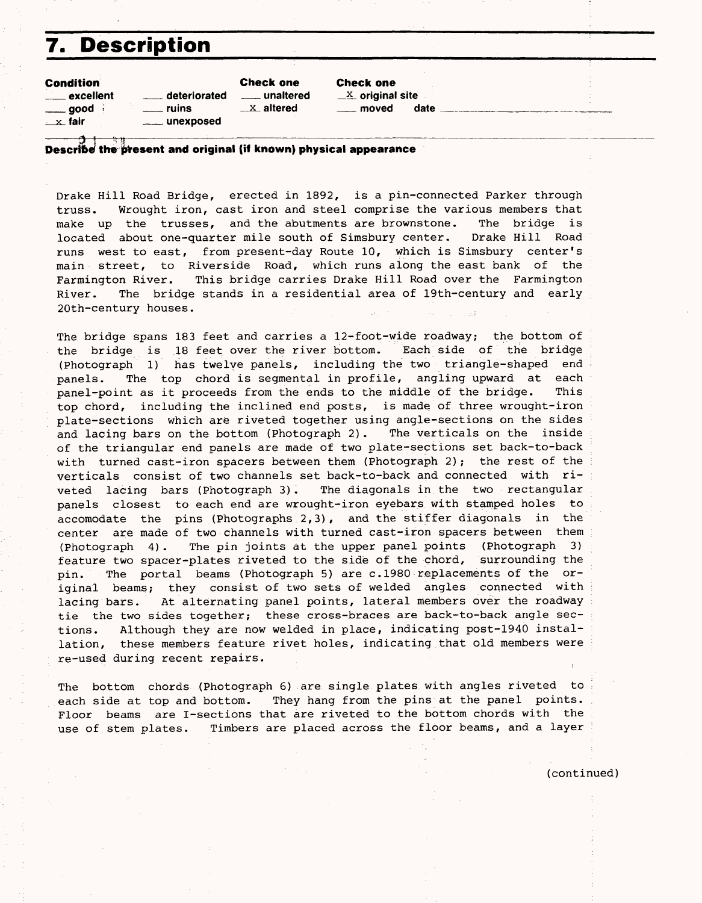# **7. Description**

Condition

|                      | _ excellent              |  |
|----------------------|--------------------------|--|
|                      | ____ good <sub>:</sub> : |  |
| <sub>—X</sub> ⊥ fair |                          |  |

——— !f

deteriorated  $\frac{1}{2}$  unaltered  $\frac{1}{2}$  original site **willing** unexposed

Check one Check one  $\frac{1}{1}$ ruins  $\frac{1}{1}$  altered  $\frac{1}{1}$  moved date

#### the  $\blacksquare$  unexposed<br> $\blacksquare$ present and original (if known) physical appearance

Drake Hill Road Bridge, erected in 1892, is a pin-connected Parker through truss. Wrought iron, cast iron and steel comprise the various members that make up the trusses, and the abutments are brownstone. The bridge is located about one-quarter mile south of Simsbury center. Drake Hill Road runs west to east, from present-day Route 10, which is Simsbury center's main street, to Riverside Road, which runs along the east bank of the Farmington River. This bridge carries Drake Hill Road over the Farmington River. The bridge stands in a residential area of 19th-century and early 20th-century houses.

The bridge spans 183 feet and carries a 12-foot-wide roadway; the bottom of the bridge is 18 feet over the river bottom. Each side of the bridge (Photograph 1) has twelve panels, including the two triangle-shaped end panels. The top chord is segmental in profile, angling upward at each panel-point as it proceeds from the ends to the middle of the bridge. This top chord, including the inclined end posts, is made of three wrought-iron plate-sections which are riveted together using angle-sections on the sides and lacing bars on the bottom (Photograph 2). The verticals on the inside of the triangular end panels are made of two plate-sections set back-to-back with turned cast-iron spacers between them (Photograph 2); the rest of the verticals consist of two channels set back-to-back and connected with riveted lacing bars (Photograph 3). The diagonals in the two rectangular panels closest to each end are wrought-iron eyebars with stamped holes to accomodate the pins (Photographs:2,3), and the stiffer diagonals in the center are made of two channels with turned cast-iron spacers between them (Photograph 4). The pin joints at the upper panel points (Photograph 3) feature two spacer-plates riveted to the side of the chord, surrounding the pin. The portal beams (Photograph 5) are c.1980 replacements of the original beams; they consist of two sets of welded angles connected with lacing bars. At alternating panel points, lateral members over the roadway tie the two sides together; these cross-braces are back-to-back angle sections. Although they are now welded in place, indicating post-1940 installation, these members feature rivet holes, indicating that old members were re-used during recent repairs.

The bottom chords (Photograph 6) are single plates with angles riveted to each side at top and bottom. They hang from the pins at the panel points. Floor beams are I-sections that are riveted to the bottom chords with the use of stem plates. Timbers are placed across the floor beams, and a layer

(continued)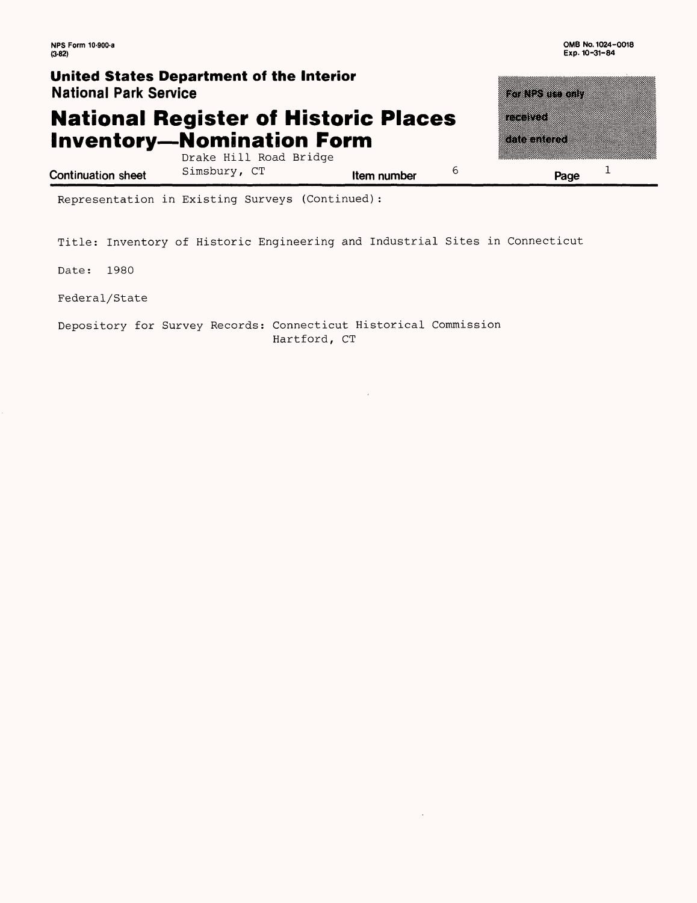$\mathbf{1}$ 

### **United States Department of the Interior National Park Service**

### **National Register of Historic Places Inventory-Nomination Form**

Drake Hill Road Bridge

Simsbury, CT **Item number**

6

**Page**

a dhe

ina ya T

<u>ta tanah di</u>

Representation in Existing Surveys (Continued):

Title: Inventory of Historic Engineering and Industrial Sites in Connecticut

Date: 1980

**Continuation sheet**

Federal/State

Depository for Survey Records: Connecticut Historical Commission Hartford, CT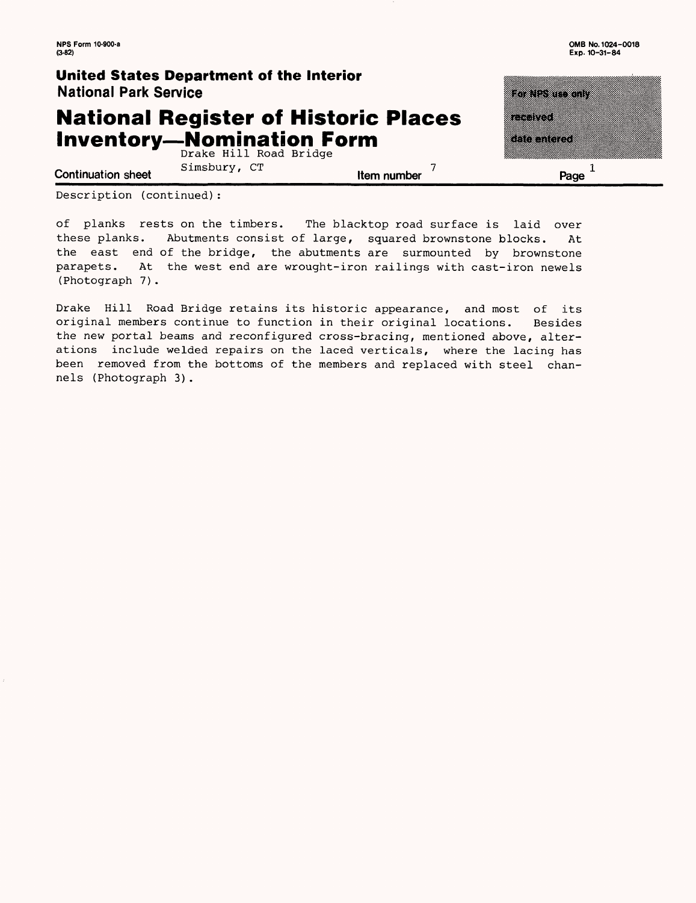### **United States Department of the Interior** National Park Service

### **National Register of Historic Places Inventory-Nomination Form**

Drake Hill Road Bridge <sup>7</sup>  $X = \frac{1}{2}$  . Simsbury, CT .  $X = \frac{1}{2}$  . The number

retter i

Page  $1$ 

<u>istronomi</u>

a a shekara

Description (continued):

of planks rests on the timbers. The blacktop road surface is laid over these planks. Abutments consist of large, squared brownstone blocks. At the east end of the bridge, the abutments are surmounted by brownstone parapets. At the west end are wrought-iron railings with cast-iron newels (Photograph 7).

Drake Hill Road Bridge retains its historic appearance, and most of its original members continue to function in their original locations. Besides the new portal beams and reconfigured cross-bracing, mentioned above, alterations include welded repairs on the laced verticals, where the lacing has been removed from the bottoms of the members and replaced with steel channels (Photograph 3).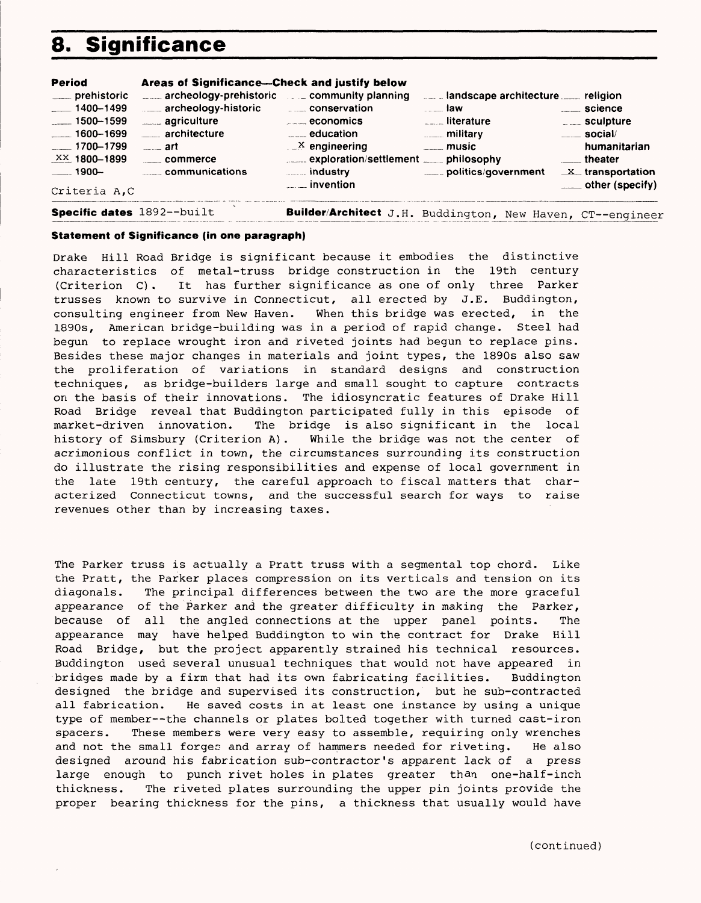# **8. Significance**

| Period                                                                                                                                                  | Areas of Significance—Check and justify below                                                                                                                                                 |                                                                                                                                                                                                             |                                                                                                                  |                                                                                                                                                      |
|---------------------------------------------------------------------------------------------------------------------------------------------------------|-----------------------------------------------------------------------------------------------------------------------------------------------------------------------------------------------|-------------------------------------------------------------------------------------------------------------------------------------------------------------------------------------------------------------|------------------------------------------------------------------------------------------------------------------|------------------------------------------------------------------------------------------------------------------------------------------------------|
| ____ prehistoric<br>$-1400 - 1499$<br>$\frac{1}{2}$ 1500-1599<br>$-1600-1699$<br>$-1700 - 1799$<br>$\frac{XX}{X}$ 1800-1899<br>$-1900-$<br>Criteria A.C | <b>EXAMPLE 2014</b> archeology-prehistoric <b>EXAMPLE 2014</b> community planning<br>archeology-historic<br>____ agriculture<br>____ architecture<br><u>art</u><br>commerce<br>communications | ____ conservation<br>$\overline{\phantom{a} \phantom{a}}$ economics<br>$\frac{1}{2}$ education<br>$\mathbb{R}^{\times}$ engineering<br>exploration/settlement ____ philosophy<br><b>Example 10</b> industry | a law<br><u></u> literature<br><b>Election Control</b> military<br><u>__</u> _ music<br>____ politics/government | religion<br>science<br>$\frac{1}{2}$ sculpture<br>$\frac{1}{2}$ social/<br>humanitarian<br>theater<br>$X$ transportation<br>$\equiv$ other (specify) |
|                                                                                                                                                         |                                                                                                                                                                                               |                                                                                                                                                                                                             |                                                                                                                  |                                                                                                                                                      |

**Specific dates** 1892--built **Builder/Architect** J.H. Buddington, New Haven, CT--engineer

#### **Statement of Significance (in one paragraph)**

Drake Hill Road Bridge is significant because it embodies the distinctive characteristics of metal-truss bridge construction in the 19th century (Criterion C). It has further significance as one of only three Parker trusses known to survive in Connecticut, all erected by J.E. Buddington, consulting engineer from New Haven. When this bridge was erected, in the 1890s, American bridge-building was in a period of rapid change. Steel had begun to replace wrought iron and riveted joints had begun to replace pins. Besides these major changes in materials and joint types, the 1890s also saw the proliferation of variations in standard designs and construction techniques, as bridge-builders large and small sought to capture contracts on the basis of their innovations. The idiosyncratic features of Drake Hill Road Bridge reveal that Buddington participated fully in this episode of market-driven innovation. The bridge is also significant in the local history of Simsbury (Criterion A). While the bridge was not the center of acrimonious conflict in town, the circumstances surrounding its construction do illustrate the rising responsibilities and expense of local government in the late 19th century, the careful approach to fiscal matters that characterized Connecticut towns, and the successful search for ways to raise revenues other than by increasing taxes.

The Parker truss is actually a Pratt truss with a segmental top chord. Like the Pratt, the Parker places compression on its verticals and tension on its diagonals. The principal differences between the two are the more graceful appearance of the Parker and the greater difficulty in making the Parker, because of all the angled connections at the upper panel points. The appearance may have helped Buddington to win the contract for Drake Hill Road Bridge, but the project apparently strained his technical resources. Buddington used several unusual techniques that would not have appeared in bridges made by a firm that had its own fabricating facilities. Buddington designed the bridge and supervised its construction, but he sub-contracted all fabrication. He saved costs in at least one instance by using a unique type of member--the channels or plates bolted together with turned cast-iron spacers. These members were very easy to assemble, requiring only wrenches and not the small forges and array of hammers needed for riveting. He also designed around his fabrication sub-contractor's apparent lack of a press large enough to punch rivet holes in plates greater than one-half-inch thickness. The riveted plates surrounding the upper pin joints provide the proper bearing thickness for the pins, a thickness that usually would have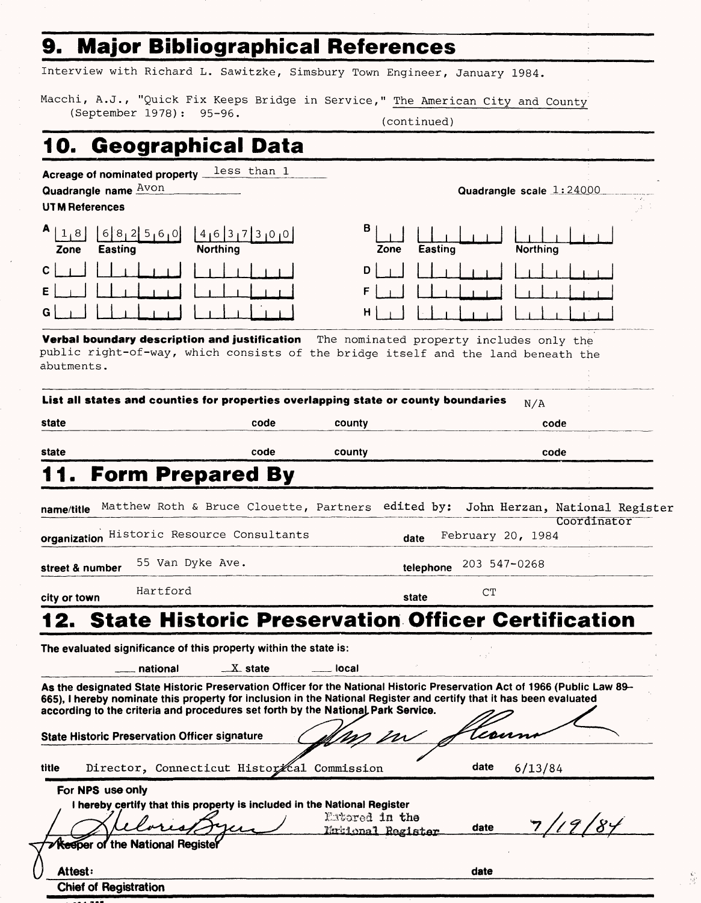## **9. Major Bibliographical References**

Interview with Richard L. Sawitzke, Simsbury Town Engineer, January 1984.

Macchi, A.J., "Quick Fix Keeps Bridge in Service," The American City and County (September 1978): 95-96. (continued)

# **10. Geographical Data**

**Acreage of nominated property**  less than 1

| Quadrangle name <b>AVON</b><br><b>UTM References</b>       |                              |           |         | Quadrangle scale 1:24000 | $\sim$ $\sim$<br>$\sim 2-100$ |
|------------------------------------------------------------|------------------------------|-----------|---------|--------------------------|-------------------------------|
| A <sub>1</sub><br>61<br>∶8∶<br>2 5,6,0 <br>Easting<br>Zone | ' ١٥٥<br>16<br>4<br>Northing | в<br>Zone | Easting | Northing                 |                               |
| $\mathbf{C}$                                               |                              | D         |         |                          |                               |
| Ε                                                          |                              |           |         |                          |                               |
| G                                                          |                              | н         |         |                          |                               |

**Verbal boundary description and justification** The nominated property includes only the public right-of-way, which consists of the bridge itself and the land beneath the abutments.

| state                     |                                                                                                                                                                                                                                                                                                                                     | code       | county         |                   |                   | code                           |
|---------------------------|-------------------------------------------------------------------------------------------------------------------------------------------------------------------------------------------------------------------------------------------------------------------------------------------------------------------------------------|------------|----------------|-------------------|-------------------|--------------------------------|
| state                     |                                                                                                                                                                                                                                                                                                                                     | code       | county         |                   |                   | code                           |
|                           | <b>Form Prepared By</b>                                                                                                                                                                                                                                                                                                             |            |                |                   |                   |                                |
| name/title                | Matthew Roth & Bruce Clouette, Partners                                                                                                                                                                                                                                                                                             |            |                | edited by:        |                   | John Herzan, National Register |
|                           | organization Historic Resource Consultants                                                                                                                                                                                                                                                                                          |            |                | date              | February 20, 1984 | Coordinator                    |
| street & number           | 55 Van Dyke Ave.                                                                                                                                                                                                                                                                                                                    |            |                | telephone         | 203 547-0268      |                                |
| city or town              | Hartford                                                                                                                                                                                                                                                                                                                            |            |                | state             | CT                |                                |
|                           |                                                                                                                                                                                                                                                                                                                                     |            |                |                   |                   |                                |
|                           | <b>State Historic Preservation Officer Certification</b>                                                                                                                                                                                                                                                                            |            |                |                   |                   |                                |
|                           | The evaluated significance of this property within the state is:<br>national                                                                                                                                                                                                                                                        | $Xz$ state | local          |                   |                   |                                |
|                           | As the designated State Historic Preservation Officer for the National Historic Preservation Act of 1966 (Public Law 89-<br>665), I hereby nominate this property for inclusion in the National Register and certify that it has been evaluated<br>according to the criteria and procedures set forth by the National Park Service. |            |                |                   |                   |                                |
|                           | <b>State Historic Preservation Officer signature</b>                                                                                                                                                                                                                                                                                |            |                |                   | coum              |                                |
|                           | Director, Connecticut Historical Commission                                                                                                                                                                                                                                                                                         |            |                |                   | date<br>6/13/84   |                                |
| title<br>For NPS use only | I hereby certify that this property is included in the National Register<br><b>Keeper of the National Register</b>                                                                                                                                                                                                                  |            | Extored in the | Mational Register | date              | 7/19/84                        |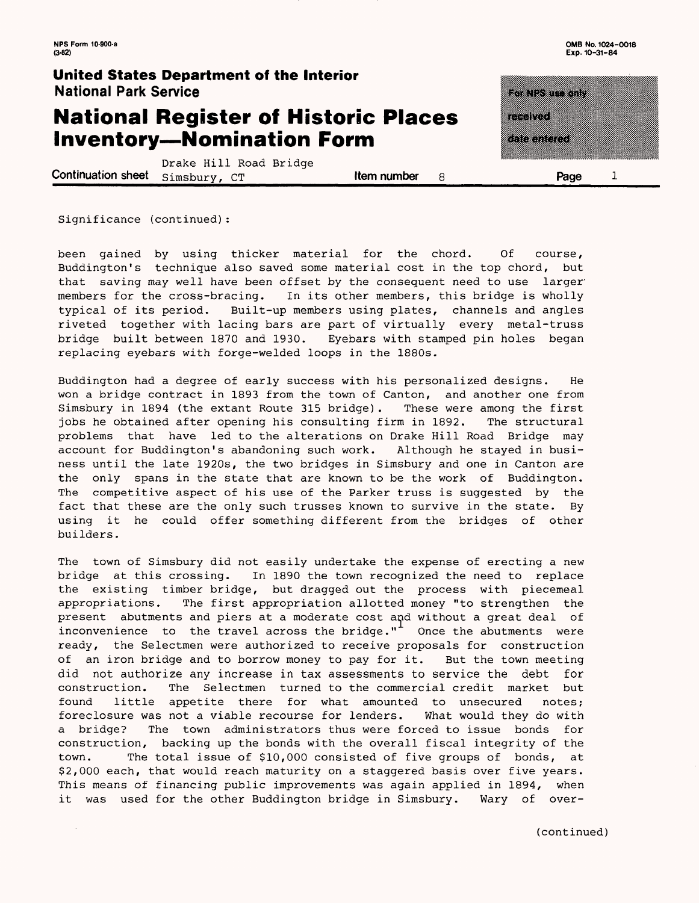$\mathbf{1}$ 

### **United States Department of the Interior** National Park Service

### **National Register of Historic Places Inventory—Nomination Form**

Drake Hill Road Bridge **Continuation sheet**  $\sinh(y)$ ,  $\cos(100)$  similar continuation sheet  $\sinh(y)$ ,  $\cos(100)$  similar continuation sheet  $\sinh(y)$ ,  $\sinh(y)$ 

Significance (continued):

been gained by using thicker material for the chord. Of course, Buddington's technique also saved some material cost in the top chord, but that saving may well have been offset by the consequent need to use larger members for the cross-bracing. In its other members, this bridge is wholly typical of its period. Built-up members using plates, channels and angles riveted together with lacing bars are part of virtually every metal-truss bridge built between 1870 and 1930. Eyebars with stamped pin holes began replacing eyebars with forge-welded loops in the 1880s.

Buddington had a degree of early success with his personalized designs. He won a bridge contract in 1893 from the town of Canton, and another one from Simsbury in 1894 (the extant Route 315 bridge). These were among the first jobs he obtained after opening his consulting firm in 1892. The structural problems that have led to the alterations on Drake Hill Road Bridge may account for Buddington's abandoning such work. Although he stayed in business until the late 1920s, the two bridges in Simsbury and one in Canton are the only spans in the state that are known to be the work of Buddington. The competitive aspect of his use of the Parker truss is suggested by the fact that these are the only such trusses known to survive in the state. By using it he could offer something different from the bridges of other builders.

The town of Simsbury did not easily undertake the expense of erecting a new bridge at this crossing. In 1890 the town recognized the need to replace the existing timber bridge, but dragged out the process with piecemeal appropriations. The first appropriation allotted money "to strengthen the present abutments and piers at a moderate cost and without a great deal of inconvenience to the travel across the bridge." $\overline{ }$  Once the abutments were ready, the Selectmen were authorized to receive proposals for construction of an iron bridge and to borrow money to pay for it. But the town meeting did not authorize any increase in tax assessments to service the debt for construction. The Selectmen turned to the commercial credit market but found little appetite there for what amounted to unsecured notes; foreclosure was not a viable recourse for lenders. What would they do with a bridge? The town administrators thus were forced to issue bonds for construction, backing up the bonds with the overall fiscal integrity of the town. The total issue of \$10,000 consisted of five groups of bonds, at \$2,000 each, that would reach maturity on a staggered basis over five years. This means of financing public improvements was again applied in 1894, when it was used for the other Buddington bridge in Simsbury. Wary of over-

**RANDAR MAN** an di Kabupatén Bandaré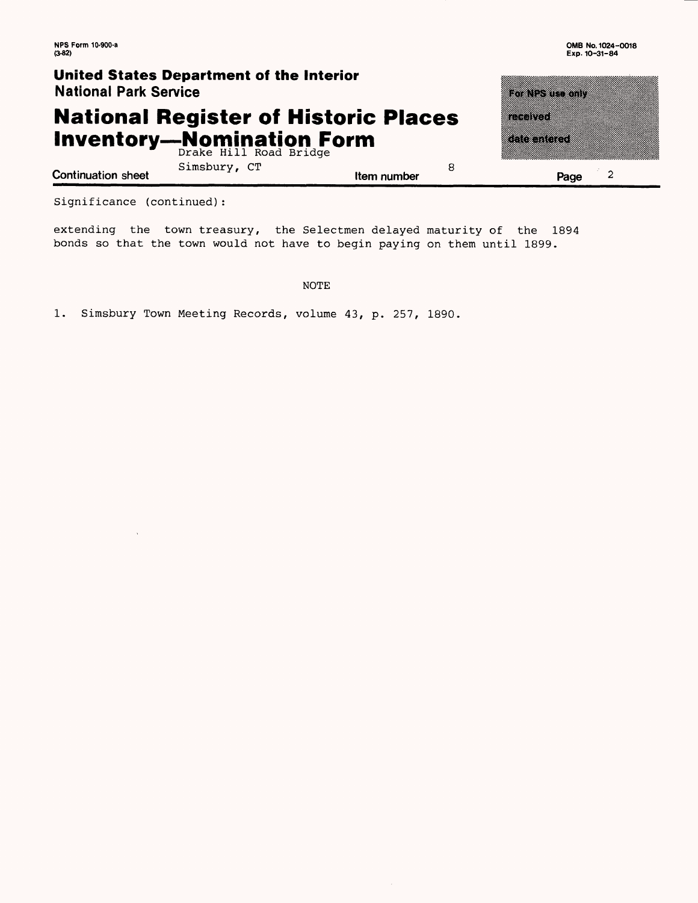### **United States Department of the Interior National Park Service**

# **National Register of Historic Place Inventory—Nomination**  Drake Hill Road Bridge **Form**

| 8 | Page                                                                                                                            |  |
|---|---------------------------------------------------------------------------------------------------------------------------------|--|
| S | <b>TERNOL</b><br>a di secolo della contra di un secolo di un secolo di un secolo di un secolo di un secolo di un secolo di un s |  |
|   | TarNPS use anly                                                                                                                 |  |

Simsbury, CT lem number **Continuation sheet Continuation sheet Continuation sheet Page** 

Significance (continued):

extending the town treasury, the Selectmen delayed maturity of the 1894 bonds so that the town would not have to begin paying on them until 1899.

NOTE

1. Simsbury Town Meeting Records, volume 43, p. 257, 1890.